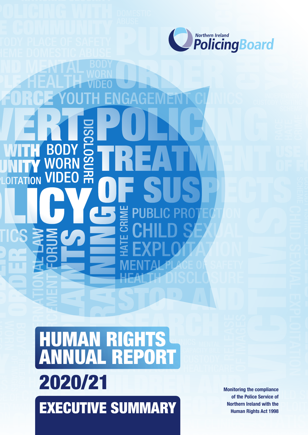

# BO 꼮 **TATION QO** S

# HUMAN RIGHTS ANNUAL REPOR 2020/21 EXECUTIVE SUMMARY

**Monitoring the compliance of the Police Service of Northern Ireland with the Human Rights Act 1998**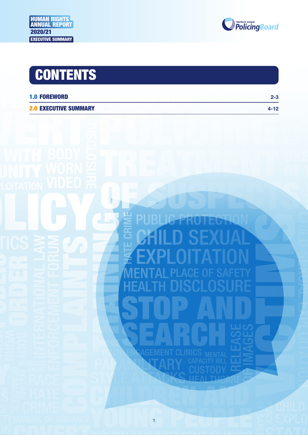

| <b>1.0 FOREWORD</b>          | $2 - 3$ |
|------------------------------|---------|
| <b>2.0 EXECUTIVE SUMMARY</b> | 4-12    |



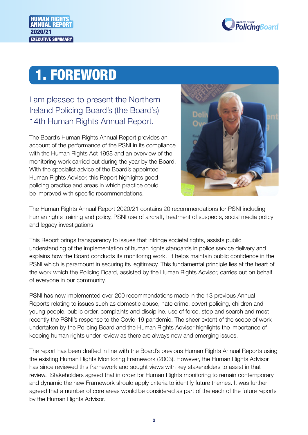

### 1. FOREWORD

I am pleased to present the Northern Ireland Policing Board's (the Board's) 14th Human Rights Annual Report.

The Board's Human Rights Annual Report provides an account of the performance of the PSNI in its compliance with the Human Rights Act 1998 and an overview of the monitoring work carried out during the year by the Board. With the specialist advice of the Board's appointed Human Rights Advisor, this Report highlights good policing practice and areas in which practice could be improved with specific recommendations.



The Human Rights Annual Report 2020/21 contains 20 recommendations for PSNI including human rights training and policy, PSNI use of aircraft, treatment of suspects, social media policy and legacy investigations.

This Report brings transparency to issues that infringe societal rights, assists public understanding of the implementation of human rights standards in police service delivery and explains how the Board conducts its monitoring work. It helps maintain public confidence in the PSNI which is paramount in securing its legitimacy. This fundamental principle lies at the heart of the work which the Policing Board, assisted by the Human Rights Advisor, carries out on behalf of everyone in our community.

PSNI has now implemented over 200 recommendations made in the 13 previous Annual Reports relating to issues such as domestic abuse, hate crime, covert policing, children and young people, public order, complaints and discipline, use of force, stop and search and most recently the PSNI's response to the Covid-19 pandemic. The sheer extent of the scope of work undertaken by the Policing Board and the Human Rights Advisor highlights the importance of keeping human rights under review as there are always new and emerging issues.

The report has been drafted in line with the Board's previous Human Rights Annual Reports using the existing Human Rights Monitoring Framework (2003). However, the Human Rights Advisor has since reviewed this framework and sought views with key stakeholders to assist in that review. Stakeholders agreed that in order for Human Rights monitoring to remain contemporary and dynamic the new Framework should apply criteria to identify future themes. It was further agreed that a number of core areas would be considered as part of the each of the future reports by the Human Rights Advisor.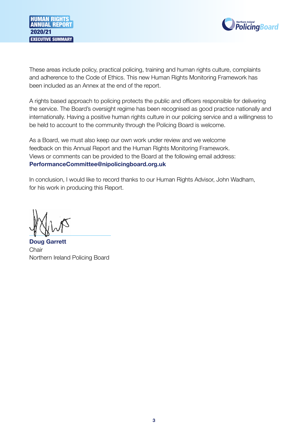



These areas include policy, practical policing, training and human rights culture, complaints and adherence to the Code of Ethics. This new Human Rights Monitoring Framework has been included as an Annex at the end of the report.

A rights based approach to policing protects the public and officers responsible for delivering the service. The Board's oversight regime has been recognised as good practice nationally and internationally. Having a positive human rights culture in our policing service and a willingness to be held to account to the community through the Policing Board is welcome.

As a Board, we must also keep our own work under review and we welcome feedback on this Annual Report and the Human Rights Monitoring Framework. Views or comments can be provided to the Board at the following email address: **[PerformanceCommittee@nipolicingboard.org.uk](mailto:PerformanceCommittee@nipolicingboard.org.uk)**

In conclusion, I would like to record thanks to our Human Rights Advisor, John Wadham, for his work in producing this Report.

**Doug Garrett Chair** Northern Ireland Policing Board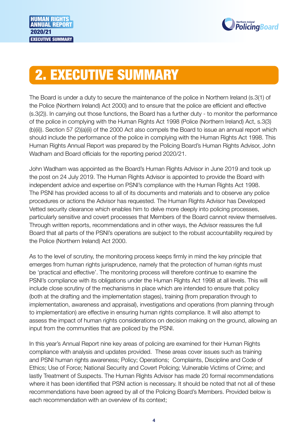



## 2. EXECUTIVE SUMMARY

The Board is under a duty to secure the maintenance of the police in Northern Ireland (s.3(1) of the Police (Northern Ireland) Act 2000) and to ensure that the police are efficient and effective (s.3(2)). In carrying out those functions, the Board has a further duty - to monitor the performance of the police in complying with the Human Rights Act 1998 (Police (Northern Ireland) Act, s.3(3) (b)(ii)). Section 57 (2)(a)(ii) of the 2000 Act also compels the Board to issue an annual report which should include the performance of the police in complying with the Human Rights Act 1998. This Human Rights Annual Report was prepared by the Policing Board's Human Rights Advisor, John Wadham and Board officials for the reporting period 2020/21.

John Wadham was appointed as the Board's Human Rights Advisor in June 2019 and took up the post on 24 July 2019. The Human Rights Advisor is appointed to provide the Board with independent advice and expertise on PSNI's compliance with the Human Rights Act 1998. The PSNI has provided access to all of its documents and materials and to observe any police procedures or actions the Advisor has requested. The Human Rights Advisor has Developed Vetted security clearance which enables him to delve more deeply into policing processes, particularly sensitive and covert processes that Members of the Board cannot review themselves. Through written reports, recommendations and in other ways, the Advisor reassures the full Board that all parts of the PSNI's operations are subject to the robust accountability required by the Police (Northern Ireland) Act 2000.

As to the level of scrutiny, the monitoring process keeps firmly in mind the key principle that emerges from human rights jurisprudence, namely that the protection of human rights must be 'practical and effective'. The monitoring process will therefore continue to examine the PSNI's compliance with its obligations under the Human Rights Act 1998 at all levels. This will include close scrutiny of the mechanisms in place which are intended to ensure that policy (both at the drafting and the implementation stages), training (from preparation through to implementation, awareness and appraisal), investigations and operations (from planning through to implementation) are effective in ensuring human rights compliance. It will also attempt to assess the impact of human rights considerations on decision making on the ground, allowing an input from the communities that are policed by the PSNI.

In this year's Annual Report nine key areas of policing are examined for their Human Rights compliance with analysis and updates provided. These areas cover issues such as training and PSNI human rights awareness; Policy; Operations; Complaints, Discipline and Code of Ethics; Use of Force; National Security and Covert Policing; Vulnerable Victims of Crime; and lastly Treatment of Suspects. The Human Rights Advisor has made 20 formal recommendations where it has been identified that PSNI action is necessary. It should be noted that not all of these recommendations have been agreed by all of the Policing Board's Members. Provided below is each recommendation with an overview of its context;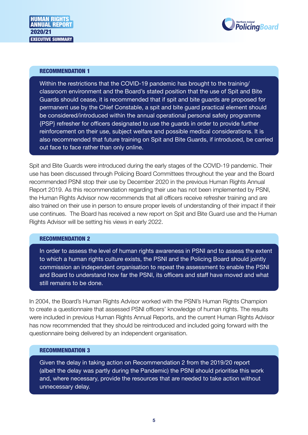

Within the restrictions that the COVID-19 pandemic has brought to the training/ classroom environment and the Board's stated position that the use of Spit and Bite Guards should cease, it is recommended that if spit and bite guards are proposed for permanent use by the Chief Constable, a spit and bite guard practical element should be considered/introduced within the annual operational personal safety programme {PSP} refresher for officers designated to use the guards in order to provide further reinforcement on their use, subject welfare and possible medical considerations. It is also recommended that future training on Spit and Bite Guards, if introduced, be carried out face to face rather than only online.

Spit and Bite Guards were introduced during the early stages of the COVID-19 pandemic. Their use has been discussed through Policing Board Committees throughout the year and the Board recommended PSNI stop their use by December 2020 in the previous Human Rights Annual Report 2019. As this recommendation regarding their use has not been implemented by PSNI, the Human Rights Advisor now recommends that all officers receive refresher training and are also trained on their use in person to ensure proper levels of understanding of their impact if their use continues. The Board has received a new report on Spit and Bite Guard use and the Human Rights Advisor will be setting his views in early 2022.

#### RECOMMENDATION 2

In order to assess the level of human rights awareness in PSNI and to assess the extent to which a human rights culture exists, the PSNI and the Policing Board should jointly commission an independent organisation to repeat the assessment to enable the PSNI and Board to understand how far the PSNI, its officers and staff have moved and what still remains to be done.

In 2004, the Board's Human Rights Advisor worked with the PSNI's Human Rights Champion to create a questionnaire that assessed PSNI officers' knowledge of human rights. The results were included in previous Human Rights Annual Reports, and the current Human Rights Advisor has now recommended that they should be reintroduced and included going forward with the questionnaire being delivered by an independent organisation.

#### RECOMMENDATION 3

Given the delay in taking action on Recommendation 2 from the 2019/20 report (albeit the delay was partly during the Pandemic) the PSNI should prioritise this work and, where necessary, provide the resources that are needed to take action without unnecessary delay.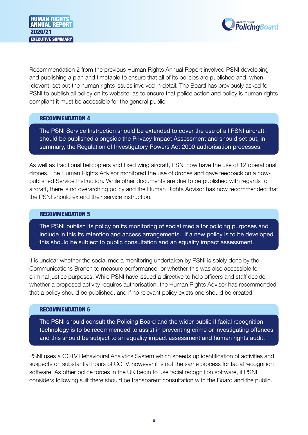

Recommendation 2 from the previous Human Rights Annual Report involved PSNI developing and publishing a plan and timetable to ensure that all of its policies are published and, when relevant, set out the human rights issues involved in detail. The Board has previously asked for PSNI to publish all policy on its website, as to ensure that police action and policy is human rights compliant it must be accessible for the general public.

#### RECOMMENDATION 4

The PSNI Service Instruction should be extended to cover the use of all PSNI aircraft, should be published alongside the Privacy Impact Assessment and should set out, in summary, the Regulation of Investigatory Powers Act 2000 authorisation processes.

As well as traditional helicopters and fixed wing aircraft, PSNI now have the use of 12 operational drones. The Human Rights Advisor monitored the use of drones and gave feedback on a nowpublished Service Instruction. While other documents are due to be published with regards to aircraft, there is no overarching policy and the Human Rights Advisor has now recommended that the PSNI should extend their service instruction.

#### RECOMMENDATION 5

The PSNI publish its policy on its monitoring of social media for policing purposes and include in this its retention and access arrangements. If a new policy is to be developed this should be subject to public consultation and an equality impact assessment.

It is unclear whether the social media monitoring undertaken by PSNI is solely done by the Communications Branch to measure performance, or whether this was also accessible for criminal justice purposes. While PSNI have issued a directive to help officers and staff decide whether a proposed activity requires authorisation, the Human Rights Advisor has recommended that a policy should be published, and if no relevant policy exists one should be created.

#### RECOMMENDATION 6

The PSNI should consult the Policing Board and the wider public if facial recognition technology is to be recommended to assist in preventing crime or investigating offences and this should be subject to an equality impact assessment and human rights audit.

PSNI uses a CCTV Behavioural Analytics System which speeds up identification of activities and suspects on substantial hours of CCTV, however it is not the same process for facial recognition software. As other police forces in the UK begin to use facial recognition software, if PSNI considers following suit there should be transparent consultation with the Board and the public.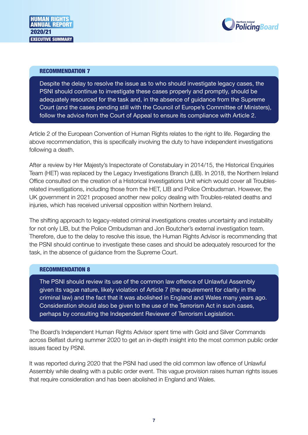

Despite the delay to resolve the issue as to who should investigate legacy cases, the PSNI should continue to investigate these cases properly and promptly, should be adequately resourced for the task and, in the absence of guidance from the Supreme Court (and the cases pending still with the Council of Europe's Committee of Ministers), follow the advice from the Court of Appeal to ensure its compliance with Article 2.

Article 2 of the European Convention of Human Rights relates to the right to life. Regarding the above recommendation, this is specifically involving the duty to have independent investigations following a death.

After a review by Her Majesty's Inspectorate of Constabulary in 2014/15, the Historical Enquiries Team (HET) was replaced by the Legacy Investigations Branch (LIB). In 2018, the Northern Ireland Office consulted on the creation of a Historical Investigations Unit which would cover all Troublesrelated investigations, including those from the HET, LIB and Police Ombudsman. However, the UK government in 2021 proposed another new policy dealing with Troubles-related deaths and injuries, which has received universal opposition within Northern Ireland.

The shifting approach to legacy-related criminal investigations creates uncertainty and instability for not only LIB, but the Police Ombudsman and Jon Boutcher's external investigation team. Therefore, due to the delay to resolve this issue, the Human Rights Advisor is recommending that the PSNI should continue to investigate these cases and should be adequately resourced for the task, in the absence of guidance from the Supreme Court.

#### RECOMMENDATION 8

The PSNI should review its use of the common law offence of Unlawful Assembly given its vague nature, likely violation of Article 7 (the requirement for clarity in the criminal law) and the fact that it was abolished in England and Wales many years ago. Consideration should also be given to the use of the Terrorism Act in such cases, perhaps by consulting the Independent Reviewer of Terrorism Legislation.

The Board's Independent Human Rights Advisor spent time with Gold and Silver Commands across Belfast during summer 2020 to get an in-depth insight into the most common public order issues faced by PSNI.

It was reported during 2020 that the PSNI had used the old common law offence of Unlawful Assembly while dealing with a public order event. This vague provision raises human rights issues that require consideration and has been abolished in England and Wales.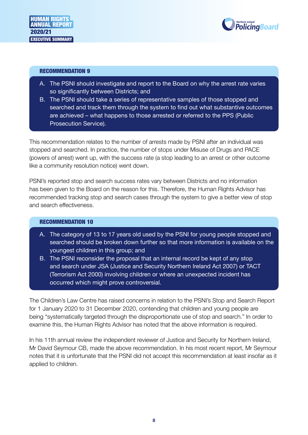



- A. The PSNI should investigate and report to the Board on why the arrest rate varies so significantly between Districts; and
- B. The PSNI should take a series of representative samples of those stopped and searched and track them through the system to find out what substantive outcomes are achieved – what happens to those arrested or referred to the PPS (Public Prosecution Service).

This recommendation relates to the number of arrests made by PSNI after an individual was stopped and searched. In practice, the number of stops under Misuse of Drugs and PACE (powers of arrest) went up, with the success rate (a stop leading to an arrest or other outcome like a community resolution notice) went down.

PSNI's reported stop and search success rates vary between Districts and no information has been given to the Board on the reason for this. Therefore, the Human Rights Advisor has recommended tracking stop and search cases through the system to give a better view of stop and search effectiveness.

#### RECOMMENDATION 10

- A. The category of 13 to 17 years old used by the PSNI for young people stopped and searched should be broken down further so that more information is available on the youngest children in this group; and
- B. The PSNI reconsider the proposal that an internal record be kept of any stop and search under JSA (Justice and Security Northern Ireland Act 2007) or TACT (Terrorism Act 2000) involving children or where an unexpected incident has occurred which might prove controversial.

The Children's Law Centre has raised concerns in relation to the PSNI's Stop and Search Report for 1 January 2020 to 31 December 2020, contending that children and young people are being "systematically targeted through the disproportionate use of stop and search." In order to examine this, the Human Rights Advisor has noted that the above information is required.

In his 11th annual review the independent reviewer of Justice and Security for Northern Ireland, Mr David Seymour CB, made the above recommendation. In his most recent report, Mr Seymour notes that it is unfortunate that the PSNI did not accept this recommendation at least insofar as it applied to children.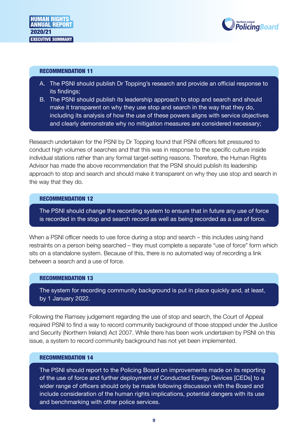



- A. The PSNI should publish Dr Topping's research and provide an official response to its findings;
- B. The PSNI should publish its leadership approach to stop and search and should make it transparent on why they use stop and search in the way that they do, including its analysis of how the use of these powers aligns with service objectives and clearly demonstrate why no mitigation measures are considered necessary;

Research undertaken for the PSNI by Dr Topping found that PSNI officers felt pressured to conduct high volumes of searches and that this was in response to the specific culture inside individual stations rather than any formal target-setting reasons. Therefore, the Human Rights Advisor has made the above recommendation that the PSNI should publish its leadership approach to stop and search and should make it transparent on why they use stop and search in the way that they do.

#### RECOMMENDATION 12

The PSNI should change the recording system to ensure that in future any use of force is recorded in the stop and search record as well as being recorded as a use of force.

When a PSNI officer needs to use force during a stop and search – this includes using hand restraints on a person being searched – they must complete a separate "use of force" form which sits on a standalone system. Because of this, there is no automated way of recording a link between a search and a use of force.

#### RECOMMENDATION 13

The system for recording community background is put in place quickly and, at least, by 1 January 2022.

Following the Ramsey judgement regarding the use of stop and search, the Court of Appeal required PSNI to find a way to record community background of those stopped under the Justice and Security (Northern Ireland) Act 2007. While there has been work undertaken by PSNI on this issue, a system to record community background has not yet been implemented.

#### RECOMMENDATION 14

The PSNI should report to the Policing Board on improvements made on its reporting of the use of force and further deployment of Conducted Energy Devices [CEDs] to a wider range of officers should only be made following discussion with the Board and include consideration of the human rights implications, potential dangers with its use and benchmarking with other police services.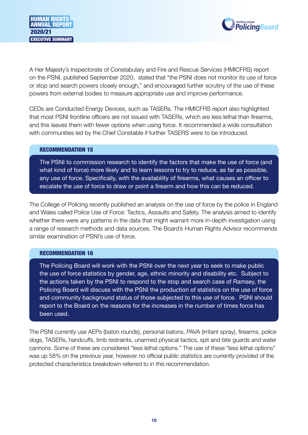

A Her Majesty's Inspectorate of Constabulary and Fire and Rescue Services (HMICFRS) report on the PSNI, published September 2020, stated that "the PSNI does not monitor its use of force or stop and search powers closely enough," and encouraged further scrutiny of the use of these powers from external bodies to measure appropriate use and improve performance.

CEDs are Conducted Energy Devices, such as TASERs. The HMICFRS report also highlighted that most PSNI frontline officers are not issued with TASERs, which are less lethal than firearms, and this leaves them with fewer options when using force. It recommended a wide consultation with communities led by the Chief Constable if further TASERS were to be introduced.

#### RECOMMENDATION 15

The PSNI to commission research to identify the factors that make the use of force (and what kind of force) more likely and to learn lessons to try to reduce, as far as possible, any use of force. Specifically, with the availability of firearms, what causes an officer to escalate the use of force to draw or point a firearm and how this can be reduced.

The College of Policing recently published an analysis on the use of force by the police in England and Wales called Police Use of Force: Tactics, Assaults and Safety. The analysis aimed to identify whether there were any patterns in the data that might warrant more in-depth investigation using a range of research methods and data sources. The Board's Human Rights Advisor recommends similar examination of PSNI's use of force.

#### RECOMMENDATION 16

The Policing Board will work with the PSNI over the next year to seek to make public the use of force statistics by gender, age, ethnic minority and disability etc. Subject to the actions taken by the PSNI to respond to the stop and search case of Ramsey, the Policing Board will discuss with the PSNI the production of statistics on the use of force and community background status of those subjected to this use of force. PSNI should report to the Board on the reasons for the increases in the number of times force has been used.

The PSNI currently use AEPs (baton rounds), personal batons, PAVA (irritant spray), firearms, police dogs, TASERs, handcuffs, limb restraints, unarmed physical tactics, spit and bite guards and water cannons. Some of these are considered "less lethal options." The use of these "less lethal options" was up 58% on the previous year, however no official public statistics are currently provided of the protected characteristics breakdown referred to in this recommendation.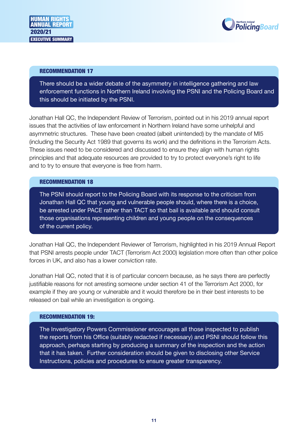

There should be a wider debate of the asymmetry in intelligence gathering and law enforcement functions in Northern Ireland involving the PSNI and the Policing Board and this should be initiated by the PSNI.

Jonathan Hall QC, the Independent Review of Terrorism, pointed out in his 2019 annual report issues that the activities of law enforcement in Northern Ireland have some unhelpful and asymmetric structures. These have been created (albeit unintended) by the mandate of MI5 (including the Security Act 1989 that governs its work) and the definitions in the Terrorism Acts. These issues need to be considered and discussed to ensure they align with human rights principles and that adequate resources are provided to try to protect everyone's right to life and to try to ensure that everyone is free from harm.

#### RECOMMENDATION 18

The PSNI should report to the Policing Board with its response to the criticism from Jonathan Hall QC that young and vulnerable people should, where there is a choice, be arrested under PACE rather than TACT so that bail is available and should consult those organisations representing children and young people on the consequences of the current policy.

Jonathan Hall QC, the Independent Reviewer of Terrorism, highlighted in his 2019 Annual Report that PSNI arrests people under TACT (Terrorism Act 2000) legislation more often than other police forces in UK, and also has a lower conviction rate.

Jonathan Hall QC, noted that it is of particular concern because, as he says there are perfectly justifiable reasons for not arresting someone under section 41 of the Terrorism Act 2000, for example if they are young or vulnerable and it would therefore be in their best interests to be released on bail while an investigation is ongoing.

#### RECOMMENDATION 19:

The Investigatory Powers Commissioner encourages all those inspected to publish the reports from his Office (suitably redacted if necessary) and PSNI should follow this approach, perhaps starting by producing a summary of the inspection and the action that it has taken. Further consideration should be given to disclosing other Service Instructions, policies and procedures to ensure greater transparency.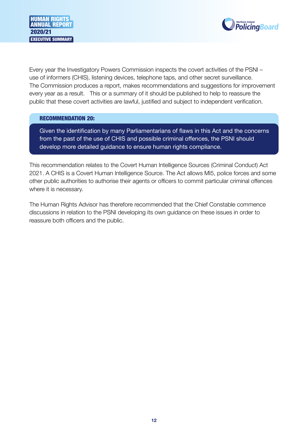



Every year the Investigatory Powers Commission inspects the covert activities of the PSNI – use of informers (CHIS), listening devices, telephone taps, and other secret surveillance. The Commission produces a report, makes recommendations and suggestions for improvement every year as a result. This or a summary of it should be published to help to reassure the public that these covert activities are lawful, justified and subject to independent verification.

#### RECOMMENDATION 20:

Given the identification by many Parliamentarians of flaws in this Act and the concerns from the past of the use of CHIS and possible criminal offences, the PSNI should develop more detailed guidance to ensure human rights compliance.

This recommendation relates to the Covert Human Intelligence Sources (Criminal Conduct) Act 2021. A CHIS is a Covert Human Intelligence Source. The Act allows MI5, police forces and some other public authorities to authorise their agents or officers to commit particular criminal offences where it is necessary.

The Human Rights Advisor has therefore recommended that the Chief Constable commence discussions in relation to the PSNI developing its own guidance on these issues in order to reassure both officers and the public.